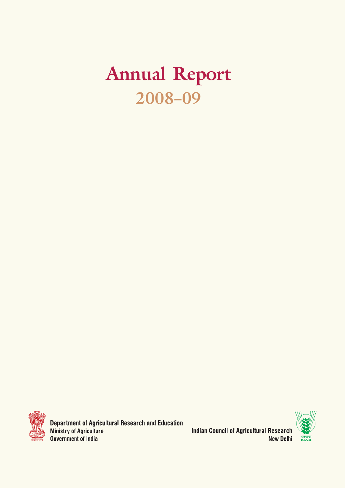# Annual Report 2008–09



**Department of Agricultural Research and Education** Ministry of Agriculture **Government of India** 

**Indian Council of Agricultural Research New Delhi** 

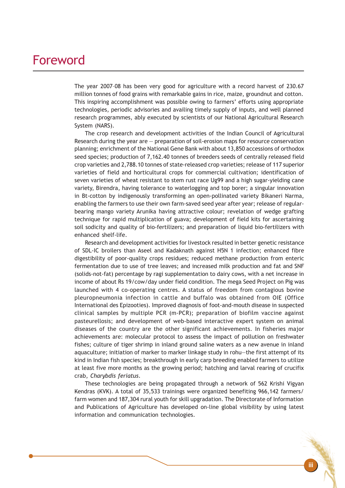### Foreword

The year 2007–08 has been very good for agriculture with a record harvest of 230.67 million tonnes of food grains with remarkable gains in rice, maize, groundnut and cotton. This inspiring accomplishment was possible owing to farmers' efforts using appropriate technologies, periodic advisories and availing timely supply of inputs, and well planned research programmes, ably executed by scientists of our National Agricultural Research System (NARS).

The crop research and development activities of the Indian Council of Agricultural Research during the year are — preparation of soil-erosion maps for resource conservation planning; enrichment of the National Gene Bank with about 13,850 accessions of orthodox seed species; production of 7,162.40 tonnes of breeders seeds of centrally released field crop varieties and 2,788.10 tonnes of state-released crop varieties; release of 117 superior varieties of field and horticultural crops for commercial cultivation; identification of seven varieties of wheat resistant to stem rust race Ug99 and a high sugar-yielding cane variety, Birendra, having tolerance to waterlogging and top borer; a singular innovation in Bt-cotton by indigenously transforming an open-pollinated variety Bikaneri Narma, enabling the farmers to use their own farm-saved seed year after year; release of regularbearing mango variety Arunika having attractive colour; revelation of wedge grafting technique for rapid multiplication of guava; development of field kits for ascertaining soil sodicity and quality of bio-fertilizers; and preparation of liquid bio-fertilizers with enhanced shelf-life.

Research and development activities for livestock resulted in better genetic resistance of SDL-IC broilers than Aseel and Kadaknath against H5N 1 infection; enhanced fibre digestibility of poor-quality crops residues; reduced methane production from enteric fermentation due to use of tree leaves; and increased milk production and fat and SNF (solids-not-fat) percentage by ragi supplementation to dairy cows, with a net increase in income of about Rs 19/cow/day under field condition. The mega Seed Project on Pig was launched with 4 co-operating centres. A status of freedom from contagious bovine pleuropneumonia infection in cattle and buffalo was obtained from OIE (Office International des Epizooties). Improved diagnosis of foot-and-mouth disease in suspected clinical samples by multiple PCR (m-PCR); preparation of biofilm vaccine against pasteurellosis; and development of web-based interactive expert system on animal diseases of the country are the other significant achievements. In fisheries major achievements are: molecular protocol to assess the impact of pollution on freshwater fishes; culture of tiger shrimp in inland ground saline waters as a new avenue in inland aquaculture; initiation of marker to marker linkage study in rohu—the first attempt of its kind in Indian fish species; breakthrough in early carp breeding enabled farmers to utilize at least five more months as the growing period; hatching and larval rearing of crucifix crab, Charybdis feriatus.

These technologies are being propagated through a network of 562 Krishi Vigyan Kendras (KVK). A total of 35,533 trainings were organized benefiting 966,142 farmers/ farm women and 187,304 rural youth for skill upgradation. The Directorate of Information and Publications of Agriculture has developed on-line global visibility by using latest information and communication technologies.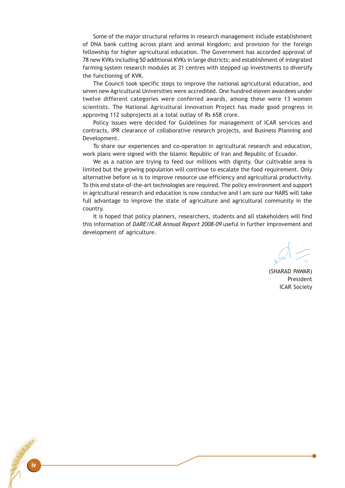Some of the major structural reforms in research management include establishment of DNA bank cutting across plant and animal kingdom; and provision for the foreign fellowship for higher agricultural education. The Government has accorded approval of 78 new KVKs including 50 additional KVKs in large districts; and establishment of integrated farming system research modules at 31 centres with stepped up investments to diversify the functioning of KVK.

The Council took specific steps to improve the national agricultural education, and seven new Agricultural Universities were accredited. One hundred eleven awardees under twelve different categories were conferred awards, among these were 13 women scientists. The National Agricultural Innovation Project has made good progress in approving 112 subprojects at a total outlay of Rs 658 crore.

Policy issues were decided for Guidelines for management of ICAR services and contracts, IPR clearance of collaborative research projects, and Business Planning and Development.

To share our experiences and co-operation in agricultural research and education, work plans were signed with the Islamic Republic of Iran and Republic of Ecuador.

We as a nation are trying to feed our millions with dignity. Our cultivable area is limited but the growing population will continue to escalate the food requirement. Only alternative before us is to improve resource use efficiency and agricultural productivity. To this end state-of-the-art technologies are required. The policy environment and support in agricultural research and education is now conducive and I am sure our NARS will take full advantage to improve the state of agriculture and agricultural community in the country.

It is hoped that policy planners, researchers, students and all stakeholders will find this information of DARE/ICAR Annual Report 2008–09 useful in further improvement and development of agriculture.

(SHARAD PAWAR) President ICAR Society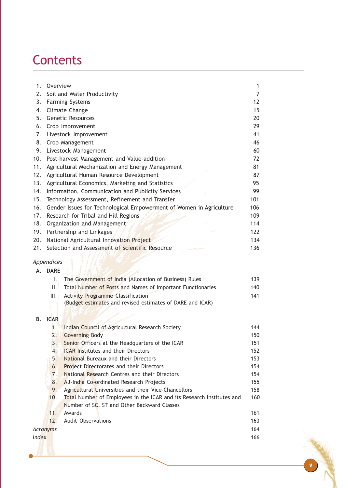# **Contents**

| 1.  | Overview                                                                   | $\mathbf{1}$ |  |  |  |  |
|-----|----------------------------------------------------------------------------|--------------|--|--|--|--|
| 2.  | Soil and Water Productivity                                                |              |  |  |  |  |
| 3.  | <b>Farming Systems</b>                                                     |              |  |  |  |  |
| 4.  | Climate Change                                                             |              |  |  |  |  |
| 5.  | <b>Genetic Resources</b>                                                   |              |  |  |  |  |
| 6.  | Crop Improvement                                                           |              |  |  |  |  |
| 7.  | Livestock Improvement                                                      |              |  |  |  |  |
| 8.  | Crop Management<br>46                                                      |              |  |  |  |  |
| 9.  | Livestock Management<br>60                                                 |              |  |  |  |  |
| 10. | Post-harvest Management and Value-addition<br>72                           |              |  |  |  |  |
| 11. | Agricultural Mechanization and Energy Management<br>81                     |              |  |  |  |  |
| 12. | 87<br>Agricultural Human Resource Development                              |              |  |  |  |  |
| 13. | Agricultural Economics, Marketing and Statistics<br>95                     |              |  |  |  |  |
| 14. | Information, Communication and Publicity Services<br>99                    |              |  |  |  |  |
| 15. | Technology Assessment, Refinement and Transfer<br>101                      |              |  |  |  |  |
| 16. | Gender Issues for Technological Empowerment of Women in Agriculture<br>106 |              |  |  |  |  |
| 17. | Research for Tribal and Hill Regions<br>109                                |              |  |  |  |  |
| 18. | Organization and Management<br>114                                         |              |  |  |  |  |
| 19. | Partnership and Linkages<br>122                                            |              |  |  |  |  |
| 20. | National Agricultural Innovation Project<br>134                            |              |  |  |  |  |
| 21. | Selection and Assessment of Scientific Resource<br>136                     |              |  |  |  |  |
|     | Appendices                                                                 |              |  |  |  |  |
| А.  | <b>DARE</b>                                                                |              |  |  |  |  |
|     | The Government of India (Allocation of Business) Rules<br>Ъŧ               | 139          |  |  |  |  |
|     | Total Number of Posts and Names of Important Functionaries<br>Ш.           | 140          |  |  |  |  |
|     | III.<br><b>Activity Programme Classification</b>                           | 141          |  |  |  |  |
|     | (Budget estimates and revised estimates of DARE and ICAR)                  |              |  |  |  |  |
| В.  | <b>ICAR</b>                                                                |              |  |  |  |  |
|     |                                                                            |              |  |  |  |  |

|          | Indian Council of Agricultural Research Society                       | 144 |
|----------|-----------------------------------------------------------------------|-----|
| 2.       | <b>Governing Body</b>                                                 | 150 |
| 3.       | Senior Officers at the Headquarters of the ICAR                       | 151 |
| 4.       | <b>ICAR Institutes and their Directors</b>                            | 152 |
| 5.       | National Bureaux and their Directors                                  | 153 |
| 6.       | <b>Project Directorates and their Directors</b>                       | 154 |
| 7.       | National Research Centres and their Directors                         | 154 |
| 8.       | All-India Co-ordinated Research Projects                              | 155 |
| 9.       | Agricultural Universities and their Vice-Chancellors                  | 158 |
| 10.      | Total Number of Employees in the ICAR and its Research Institutes and | 160 |
|          | Number of SC, ST and Other Backward Classes                           |     |
| 11.      | Awards                                                                | 161 |
| 12.      | <b>Audit Observations</b>                                             | 163 |
| Acronyms |                                                                       | 164 |
| Index    |                                                                       | 166 |
|          |                                                                       |     |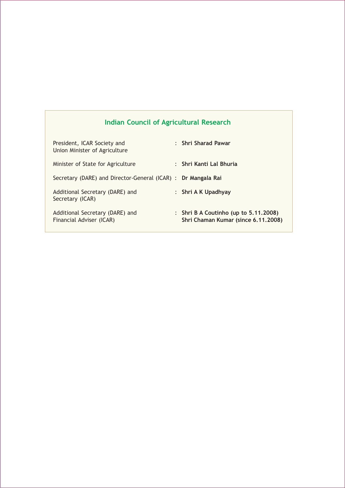### Indian Council of Agricultural Research

| President, ICAR Society and<br>Union Minister of Agriculture  | : Shri Sharad Pawar                                                             |
|---------------------------------------------------------------|---------------------------------------------------------------------------------|
| Minister of State for Agriculture                             | : Shri Kanti Lal Bhuria                                                         |
| Secretary (DARE) and Director-General (ICAR) : Dr Mangala Rai |                                                                                 |
| Additional Secretary (DARE) and<br>Secretary (ICAR)           | : Shri A K Upadhyay                                                             |
| Additional Secretary (DARE) and<br>Financial Adviser (ICAR)   | : Shri B A Coutinho (up to $5.11.2008$ )<br>Shri Chaman Kumar (since 6.11.2008) |